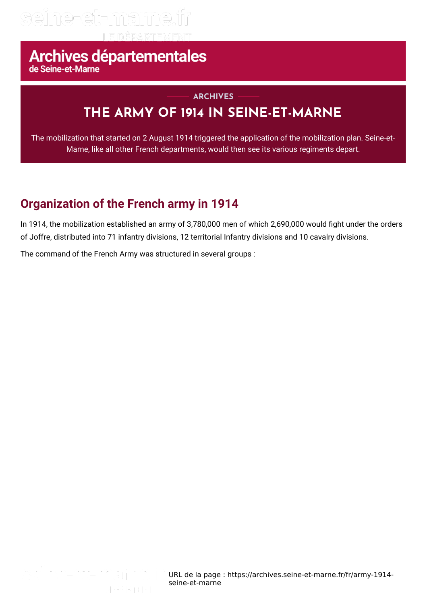# seine-et-marne.fr

# Archives départementales

## **THE ARMY OF 1914 IN SEINE-ET-MARNE ARCHIVES**

The mobilization that started on 2 August 1914 triggered the application of the mobilization plan. Seine-et-Marne, like all other French departments, would then see its various regiments depart.

## **Organization of the French army in 1914**

In 1914, the mobilization established an army of 3,780,000 men of which 2,690,000 would fight under the orders of Joffre, distributed into 71 infantry divisions, 12 territorial Infantry divisions and 10 cavalry divisions.

The command of the French Army was structured in several groups :

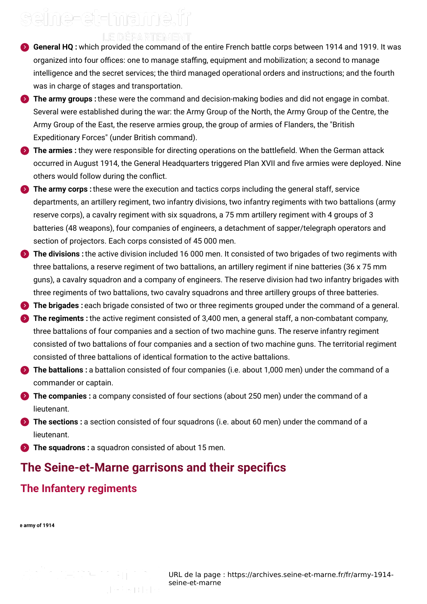# seine-et-mame.fr

- LE DEPARTEMENT
- **General HQ :** which provided the command of the entire French battle corps between 1914 and 1919. It was organized into four offices: one to manage staffing, equipment and mobilization; a second to manage intelligence and the secret services; the third managed operational orders and instructions; and the fourth was in charge of stages and transportation.
- **The army groups**: these were the command and decision-making bodies and did not engage in combat. Several were established during the war: the Army Group of the North, the Army Group of the Centre, the Army Group of the East, the reserve armies group, the group of armies of Flanders, the "British Expeditionary Forces" (under British command).
- **The armies :** they were responsible for directing operations on the battlefield. When the German attack occurred in August 1914, the General Headquarters triggered Plan XVII and five armies were deployed. Nine others would follow during the conflict.
- **The army corps :**these were the execution and tactics corps including the general staff, service departments, an artillery regiment, two infantry divisions, two infantry regiments with two battalions (army reserve corps), a cavalry regiment with six squadrons, a 75 mm artillery regiment with 4 groups of 3 batteries (48 weapons), four companies of engineers, a detachment of sapper/telegraph operators and section of projectors. Each corps consisted of 45 000 men.
- **The divisions :**the active division included 16 000 men. It consisted of two brigades of two regiments with three battalions, a reserve regiment of two battalions, an artillery regiment if nine batteries (36 x 75 mm guns), a cavalry squadron and a company of engineers. The reserve division had two infantry brigades with three regiments of two battalions, two cavalry squadrons and three artillery groups of three batteries.
- **The brigades** : each brigade consisted of two or three regiments grouped under the command of a general.
- **The regiments :** the active regiment consisted of 3,400 men, a general staff, a non-combatant company, three battalions of four companies and a section of two machine guns. The reserve infantry regiment consisted of two battalions of four companies and a section of two machine guns. The territorial regiment consisted of three battalions of identical formation to the active battalions.
- **The battalions :** a battalion consisted of four companies (i.e. about 1,000 men) under the command of a commander or captain.
- **The companies :** a company consisted of four sections (about 250 men) under the command of a lieutenant.
- **The sections :** a section consisted of four squadrons (i.e. about 60 men) under the command of a lieutenant.
- **The squadrons**: a squadron consisted of about 15 men.

## **The Seine-et-Marne garrisons and their specics**

## **The Infantery regiments**

#### **The army of 1914**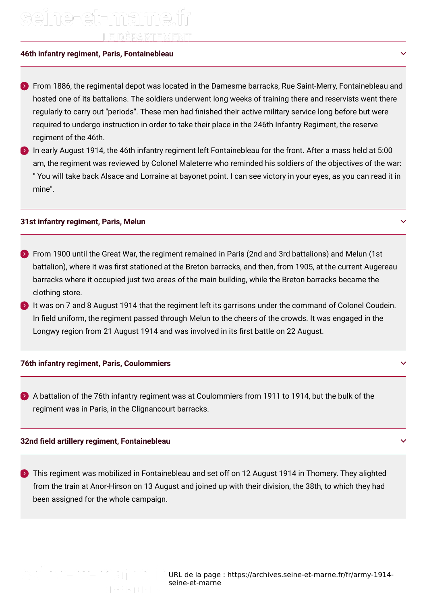# seine-et-mame.fi LE DÉPARTEMENT

## **46th infantry regiment, Paris, Fontainebleau**

**From 1886, the regimental depot was located in the Damesme barracks, Rue Saint-Merry, Fontainebleau and** hosted one of its battalions. The soldiers underwent long weeks of training there and reservists went there regularly to carry out "periods". These men had finished their active military service long before but were required to undergo instruction in order to take their place in the 246th Infantry Regiment, the reserve regiment of the 46th.

 $\bullet$  In early August 1914, the 46th infantry regiment left Fontainebleau for the front. After a mass held at 5:00  $\,$ am, the regiment was reviewed by Colonel Maleterre who reminded his soldiers of the objectives of the war: " You will take back Alsace and Lorraine at bayonet point. I can see victory in your eyes, as you can read it in mine".

#### **31st infantry regiment, Paris, Melun**

- $\blacktriangleright$  From 1900 until the Great War, the regiment remained in Paris (2nd and 3rd battalions) and Melun (1st battalion), where it was first stationed at the Breton barracks, and then, from 1905, at the current Augereau barracks where it occupied just two areas of the main building, while the Breton barracks became the clothing store.
- It was on 7 and 8 August 1914 that the regiment left its garrisons under the command of Colonel Coudein. In field uniform, the regiment passed through Melun to the cheers of the crowds. It was engaged in the Longwy region from 21 August 1914 and was involved in its first battle on 22 August.

### **76th infantry regiment, Paris, Coulommiers**

A battalion of the 76th infantry regiment was at Coulommiers from 1911 to 1914, but the bulk of the regiment was in Paris, in the Clignancourt barracks.

### **32nd eld artillery regiment, Fontainebleau**

- 
- **This regiment was mobilized in Fontainebleau and set off on 12 August 1914 in Thomery. They alighted** from the train at Anor-Hirson on 13 August and joined up with their division, the 38th, to which they had been assigned for the whole campaign.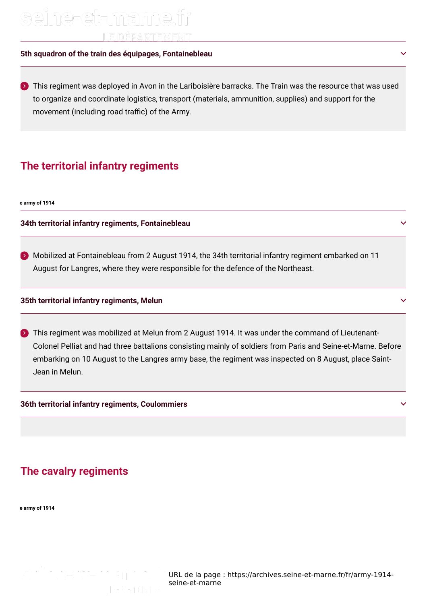# seine-et-marne.fr LE DÉPARTEMENT

## **5th squadron of the train des équipages, Fontainebleau**

 $\sum$  This regiment was deployed in Avon in the Lariboisière barracks. The Train was the resource that was used to organize and coordinate logistics, transport (materials, ammunition, supplies) and support for the movement (including road traffic) of the Army.

## **The territorial infantry regiments**

**The army of 1914**

**34th territorial infantry regiments, Fontainebleau**

Mobilized at Fontainebleau from 2 August 1914, the 34th territorial infantry regiment embarked on 11 August for Langres, where they were responsible for the defence of the Northeast.

### **35th territorial infantry regiments, Melun**

**This regiment was mobilized at Melun from 2 August 1914. It was under the command of Lieutenant-**Colonel Pelliat and had three battalions consisting mainly of soldiers from Paris and Seine-et-Marne. Before embarking on 10 August to the Langres army base, the regiment was inspected on 8 August, place Saint-Jean in Melun.

#### **36th territorial infantry regiments, Coulommiers**

## **The cavalry regiments**

seine-et-mame.

**The army of 1914**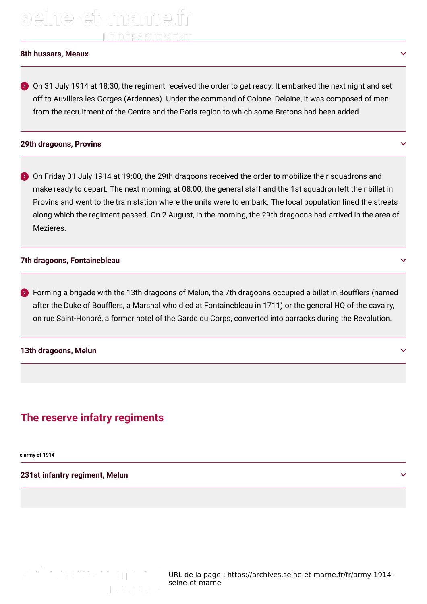## seine-et-mame.fi LE DÉPARTEMENT

#### **8th hussars, Meaux**

 $\triangleright$  On 31 July 1914 at 18:30, the regiment received the order to get ready. It embarked the next night and set off to Auvillers-les-Gorges (Ardennes). Under the command of Colonel Delaine, it was composed of men from the recruitment of the Centre and the Paris region to which some Bretons had been added.

#### **29th dragoons, Provins**

 $\bullet$  On Friday 31 July 1914 at 19:00, the 29th dragoons received the order to mobilize their squadrons and make ready to depart. The next morning, at 08:00, the general staff and the 1st squadron left their billet in Provins and went to the train station where the units were to embark. The local population lined the streets along which the regiment passed. On 2 August, in the morning, the 29th dragoons had arrived in the area of **Mezieres** 

#### **7th dragoons, Fontainebleau**

 $\blacktriangleright$  Forming a brigade with the 13th dragoons of Melun, the 7th dragoons occupied a billet in Boufflers (named after the Duke of Boufflers, a Marshal who died at Fontainebleau in 1711) or the general HQ of the cavalry, on rue Saint-Honoré, a former hotel of the Garde du Corps, converted into barracks during the Revolution.

#### **13th dragoons, Melun**

## **The reserve infatry regiments**

**The army of 1914**

**231st infantry regiment, Melun**

seine-et-marne